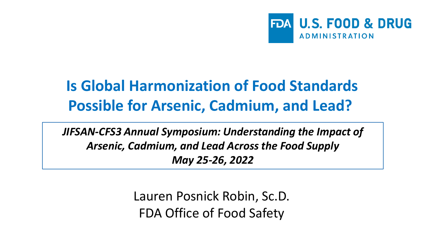

#### **Is Global Harmonization of Food Standards Possible for Arsenic, Cadmium, and Lead?**

*JIFSAN-CFS3 Annual Symposium: Understanding the Impact of Arsenic, Cadmium, and Lead Across the Food Supply May 25-26, 2022*

> Lauren Posnick Robin, Sc.D. FDA Office of Food Safety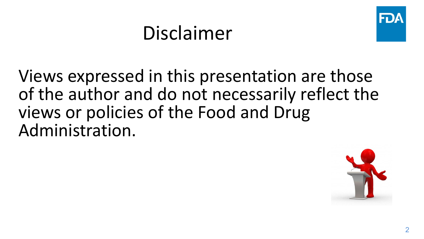#### Disclaimer

Views expressed in this presentation are those of the author and do not necessarily reflect the views or policies of the Food and Drug Administration.

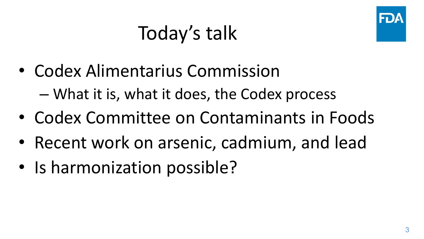#### Today's talk

- Codex Alimentarius Commission – What it is, what it does, the Codex process
- Codex Committee on Contaminants in Foods
- Recent work on arsenic, cadmium, and lead
- Is harmonization possible?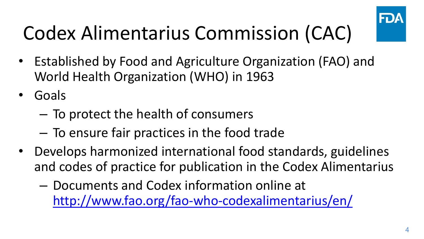

## Codex Alimentarius Commission (CAC)

- Established by Food and Agriculture Organization (FAO) and World Health Organization (WHO) in 1963
- Goals
	- To protect the health of consumers
	- To ensure fair practices in the food trade
- Develops harmonized international food standards, guidelines and codes of practice for publication in the Codex Alimentarius
	- Documents and Codex information online at <http://www.fao.org/fao-who-codexalimentarius/en/>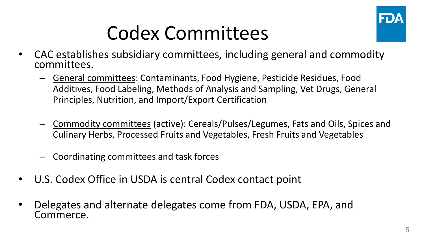

#### Codex Committees

- CAC establishes subsidiary committees, including general and commodity committees.
	- General committees: Contaminants, Food Hygiene, Pesticide Residues, Food Additives, Food Labeling, Methods of Analysis and Sampling, Vet Drugs, General Principles, Nutrition, and Import/Export Certification
	- Commodity committees (active): Cereals/Pulses/Legumes, Fats and Oils, Spices and Culinary Herbs, Processed Fruits and Vegetables, Fresh Fruits and Vegetables
	- Coordinating committees and task forces
- U.S. Codex Office in USDA is central Codex contact point
- Delegates and alternate delegates come from FDA, USDA, EPA, and Commerce.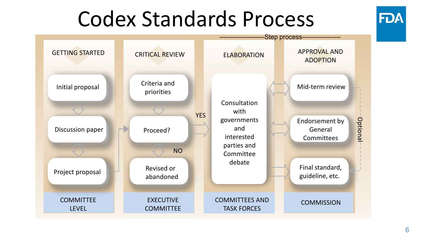## Codex Standards Process



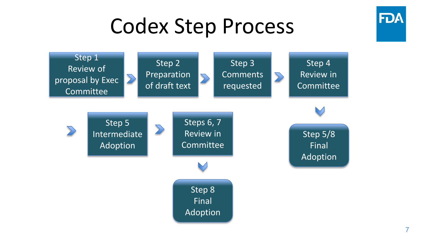## Codex Step Process

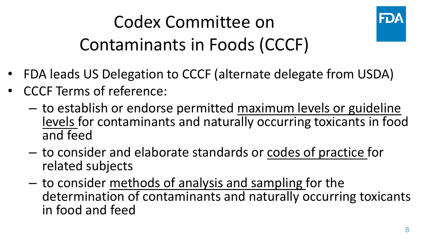#### Codex Committee on Contaminants in Foods (CCCF)



- FDA leads US Delegation to CCCF (alternate delegate from USDA)
- CCCF Terms of reference:
	- to establish or endorse permitted maximum levels or guideline levels for contaminants and naturally occurring toxicants in food and feed
	- to consider and elaborate standards or codes of practice for related subjects
	- to consider methods of analysis and sampling for the determination of contaminants and naturally occurring toxicants in food and feed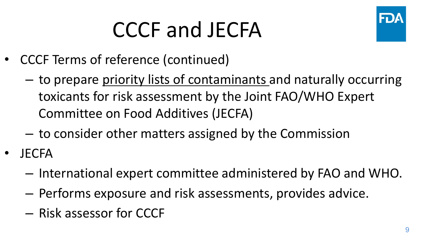# CCCF and JECFA



- CCCF Terms of reference (continued)
	- to prepare priority lists of contaminants and naturally occurring toxicants for risk assessment by the Joint FAO/WHO Expert Committee on Food Additives (JECFA)
	- to consider other matters assigned by the Commission
- JECFA
	- International expert committee administered by FAO and WHO.
	- Performs exposure and risk assessments, provides advice.
	- Risk assessor for CCCF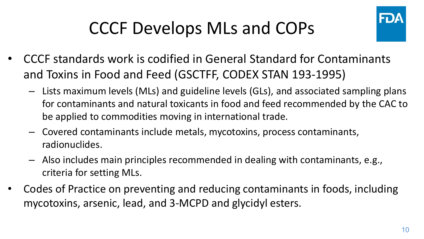

#### CCCF Develops MLs and COPs

- CCCF standards work is codified in General Standard for Contaminants and Toxins in Food and Feed (GSCTFF, CODEX STAN 193-1995)
	- Lists maximum levels (MLs) and guideline levels (GLs), and associated sampling plans for contaminants and natural toxicants in food and feed recommended by the CAC to be applied to commodities moving in international trade.
	- Covered contaminants include metals, mycotoxins, process contaminants, radionuclides.
	- Also includes main principles recommended in dealing with contaminants, e.g., criteria for setting MLs.
- Codes of Practice on preventing and reducing contaminants in foods, including mycotoxins, arsenic, lead, and 3-MCPD and glycidyl esters.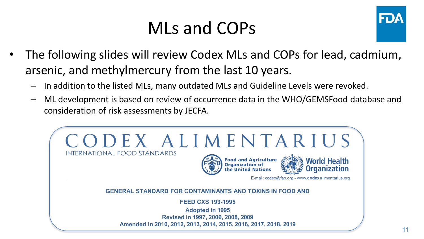#### MLs and COPs



- The following slides will review Codex MLs and COPs for lead, cadmium, arsenic, and methylmercury from the last 10 years.
	- In addition to the listed MLs, many outdated MLs and Guideline Levels were revoked.
	- ML development is based on review of occurrence data in the WHO/GEMSFood database and consideration of risk assessments by JECFA.

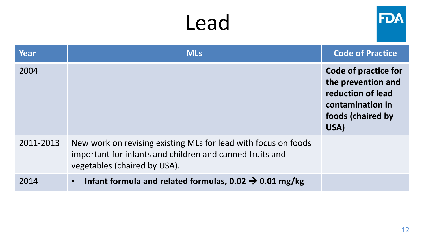| Year      | <b>MLs</b>                                                                                                                                                 | <b>Code of Practice</b>                                                                                          |
|-----------|------------------------------------------------------------------------------------------------------------------------------------------------------------|------------------------------------------------------------------------------------------------------------------|
| 2004      |                                                                                                                                                            | Code of practice for<br>the prevention and<br>reduction of lead<br>contamination in<br>foods (chaired by<br>USA) |
| 2011-2013 | New work on revising existing MLs for lead with focus on foods<br>important for infants and children and canned fruits and<br>vegetables (chaired by USA). |                                                                                                                  |
| 2014      | Infant formula and related formulas, 0.02 $\rightarrow$ 0.01 mg/kg<br>$\bullet$                                                                            |                                                                                                                  |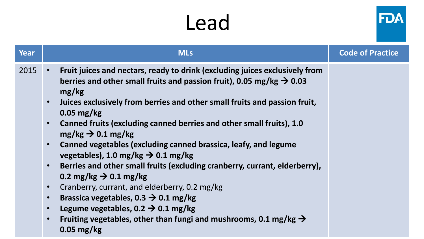| Year | <b>MLs</b>                                                                                                                                                                                                                                                                                                                                                                                                                                                                                                                                                                                                                                                                                                                                                                                                                                                                                                                                                                         | <b>Code of Practice</b> |
|------|------------------------------------------------------------------------------------------------------------------------------------------------------------------------------------------------------------------------------------------------------------------------------------------------------------------------------------------------------------------------------------------------------------------------------------------------------------------------------------------------------------------------------------------------------------------------------------------------------------------------------------------------------------------------------------------------------------------------------------------------------------------------------------------------------------------------------------------------------------------------------------------------------------------------------------------------------------------------------------|-------------------------|
| 2015 | Fruit juices and nectars, ready to drink (excluding juices exclusively from<br>$\bullet$<br>berries and other small fruits and passion fruit), 0.05 mg/kg $\rightarrow$ 0.03<br>mg/kg<br>Juices exclusively from berries and other small fruits and passion fruit,<br>$\bullet$<br>$0.05$ mg/kg<br>Canned fruits (excluding canned berries and other small fruits), 1.0<br>$\bullet$<br>$mg/kg \rightarrow 0.1 mg/kg$<br>Canned vegetables (excluding canned brassica, leafy, and legume<br>$\bullet$<br>vegetables), 1.0 mg/kg $\rightarrow$ 0.1 mg/kg<br>Berries and other small fruits (excluding cranberry, currant, elderberry),<br>$\bullet$<br>0.2 mg/kg $\rightarrow$ 0.1 mg/kg<br>Cranberry, currant, and elderberry, 0.2 mg/kg<br>$\bullet$<br>Brassica vegetables, 0.3 $\rightarrow$ 0.1 mg/kg<br>$\bullet$<br>Legume vegetables, 0.2 $\rightarrow$ 0.1 mg/kg<br>$\bullet$<br>Fruiting vegetables, other than fungi and mushrooms, 0.1 mg/kg $\rightarrow$<br>$\bullet$ |                         |
|      | $0.05$ mg/kg                                                                                                                                                                                                                                                                                                                                                                                                                                                                                                                                                                                                                                                                                                                                                                                                                                                                                                                                                                       |                         |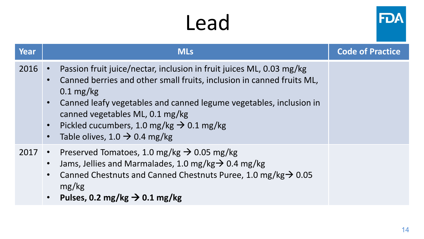| <b>Year</b> | <b>MLs</b>                                                                                                                                                                                                                                                                                                                                                                                                   | <b>Code of Practice</b> |
|-------------|--------------------------------------------------------------------------------------------------------------------------------------------------------------------------------------------------------------------------------------------------------------------------------------------------------------------------------------------------------------------------------------------------------------|-------------------------|
| 2016        | Passion fruit juice/nectar, inclusion in fruit juices ML, 0.03 mg/kg<br>$\bullet$<br>Canned berries and other small fruits, inclusion in canned fruits ML,<br>$0.1 \text{ mg/kg}$<br>Canned leafy vegetables and canned legume vegetables, inclusion in<br>canned vegetables ML, 0.1 mg/kg<br>Pickled cucumbers, 1.0 mg/kg $\rightarrow$ 0.1 mg/kg<br>Table olives, 1.0 $\rightarrow$ 0.4 mg/kg<br>$\bullet$ |                         |
|             | 2017 • Preserved Tomatoes, 1.0 mg/kg $\rightarrow$ 0.05 mg/kg<br>Jams, Jellies and Marmalades, 1.0 mg/kg $\rightarrow$ 0.4 mg/kg<br>$\bullet$<br>Canned Chestnuts and Canned Chestnuts Puree, 1.0 mg/kg $\rightarrow$ 0.05<br>mg/kg<br>Pulses, 0.2 mg/kg $\rightarrow$ 0.1 mg/kg                                                                                                                             |                         |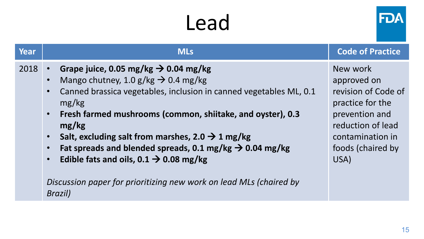| Year | <b>MLs</b>                                                                                                                                                                                                                                                                                                                                                                                                                                                                                                                                                                                                                         | <b>Code of Practice</b>                                                                                                                                    |
|------|------------------------------------------------------------------------------------------------------------------------------------------------------------------------------------------------------------------------------------------------------------------------------------------------------------------------------------------------------------------------------------------------------------------------------------------------------------------------------------------------------------------------------------------------------------------------------------------------------------------------------------|------------------------------------------------------------------------------------------------------------------------------------------------------------|
| 2018 | Grape juice, 0.05 mg/kg $\rightarrow$ 0.04 mg/kg<br>$\bullet$<br>Mango chutney, 1.0 g/kg $\rightarrow$ 0.4 mg/kg<br>$\bullet$<br>Canned brassica vegetables, inclusion in canned vegetables ML, 0.1<br>$\bullet$<br>mg/kg<br>Fresh farmed mushrooms (common, shiitake, and oyster), 0.3<br>$\bullet$<br>mg/kg<br>Salt, excluding salt from marshes, 2.0 $\rightarrow$ 1 mg/kg<br>$\bullet$<br>Fat spreads and blended spreads, 0.1 mg/kg $\rightarrow$ 0.04 mg/kg<br>$\bullet$<br>Edible fats and oils, $0.1 \rightarrow 0.08$ mg/kg<br>$\bullet$<br>Discussion paper for prioritizing new work on lead MLs (chaired by<br>Brazil) | New work<br>approved on<br>revision of Code of<br>practice for the<br>prevention and<br>reduction of lead<br>contamination in<br>foods (chaired by<br>USA) |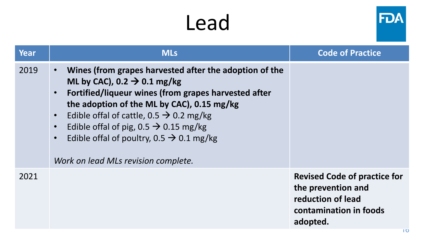

| <b>Year</b> | <b>MLs</b>                                                                                                                                                                                                                                                                                                                                                                                                                                                                             | <b>Code of Practice</b>                                                                                                    |
|-------------|----------------------------------------------------------------------------------------------------------------------------------------------------------------------------------------------------------------------------------------------------------------------------------------------------------------------------------------------------------------------------------------------------------------------------------------------------------------------------------------|----------------------------------------------------------------------------------------------------------------------------|
| 2019        | Wines (from grapes harvested after the adoption of the<br>$\bullet$<br>ML by CAC), 0.2 $\rightarrow$ 0.1 mg/kg<br>Fortified/liqueur wines (from grapes harvested after<br>$\bullet$<br>the adoption of the ML by CAC), 0.15 mg/kg<br>Edible of fal of cattle, $0.5 \rightarrow 0.2$ mg/kg<br>$\bullet$<br>Edible of fal of pig, $0.5 \rightarrow 0.15$ mg/kg<br>$\bullet$<br>Edible of fal of poultry, 0.5 $\rightarrow$ 0.1 mg/kg<br>$\bullet$<br>Work on lead MLs revision complete. |                                                                                                                            |
| 2021        |                                                                                                                                                                                                                                                                                                                                                                                                                                                                                        | <b>Revised Code of practice for</b><br>the prevention and<br>reduction of lead<br>contamination in foods<br>adopted.<br>10 |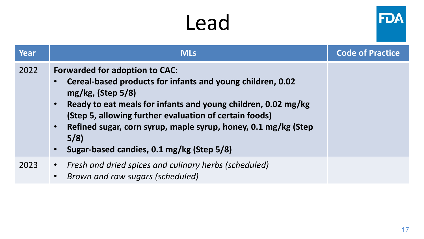| <b>Year</b> | <b>MLs</b>                                                                                                                                                                                                                                                                                                                                                                | <b>Code of Practice</b> |
|-------------|---------------------------------------------------------------------------------------------------------------------------------------------------------------------------------------------------------------------------------------------------------------------------------------------------------------------------------------------------------------------------|-------------------------|
| 2022        | <b>Forwarded for adoption to CAC:</b><br>Cereal-based products for infants and young children, 0.02<br>mg/kg, (Step 5/8)<br>Ready to eat meals for infants and young children, 0.02 mg/kg<br>(Step 5, allowing further evaluation of certain foods)<br>Refined sugar, corn syrup, maple syrup, honey, 0.1 mg/kg (Step<br>5/8<br>Sugar-based candies, 0.1 mg/kg (Step 5/8) |                         |
| 2023        | • Fresh and dried spices and culinary herbs (scheduled)<br>Brown and raw sugars (scheduled)                                                                                                                                                                                                                                                                               |                         |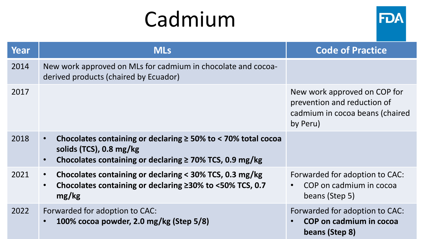## Cadmium



| Year | <b>MLs</b>                                                                                                                                                                                        | <b>Code of Practice</b>                                                                                    |
|------|---------------------------------------------------------------------------------------------------------------------------------------------------------------------------------------------------|------------------------------------------------------------------------------------------------------------|
| 2014 | New work approved on MLs for cadmium in chocolate and cocoa-<br>derived products (chaired by Ecuador)                                                                                             |                                                                                                            |
| 2017 |                                                                                                                                                                                                   | New work approved on COP for<br>prevention and reduction of<br>cadmium in cocoa beans (chaired<br>by Peru) |
| 2018 | Chocolates containing or declaring $\geq$ 50% to < 70% total cocoa<br>$\bullet$<br>solids (TCS), $0.8 \text{ mg/kg}$<br>Chocolates containing or declaring $\geq$ 70% TCS, 0.9 mg/kg<br>$\bullet$ |                                                                                                            |
| 2021 | Chocolates containing or declaring < 30% TCS, 0.3 mg/kg<br>$\bullet$<br>Chocolates containing or declaring ≥30% to <50% TCS, 0.7<br>$\bullet$<br>mg/kg                                            | Forwarded for adoption to CAC:<br>COP on cadmium in cocoa<br>beans (Step 5)                                |
| 2022 | Forwarded for adoption to CAC:<br>100% cocoa powder, 2.0 mg/kg (Step 5/8)                                                                                                                         | Forwarded for adoption to CAC:<br>COP on cadmium in cocoa<br>beans (Step 8)                                |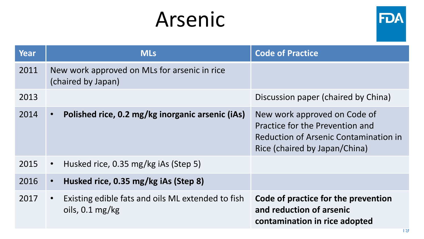#### Arsenic



| <b>Year</b> | <b>MLs</b>                                                                                  | <b>Code of Practice</b>                                                                                                                          |
|-------------|---------------------------------------------------------------------------------------------|--------------------------------------------------------------------------------------------------------------------------------------------------|
| 2011        | New work approved on MLs for arsenic in rice<br>(chaired by Japan)                          |                                                                                                                                                  |
| 2013        |                                                                                             | Discussion paper (chaired by China)                                                                                                              |
| 2014        | Polished rice, 0.2 mg/kg inorganic arsenic (iAs)<br>$\bullet$                               | New work approved on Code of<br>Practice for the Prevention and<br><b>Reduction of Arsenic Contamination in</b><br>Rice (chaired by Japan/China) |
| 2015        | Husked rice, 0.35 mg/kg iAs (Step 5)<br>$\bullet$                                           |                                                                                                                                                  |
| 2016        | Husked rice, 0.35 mg/kg iAs (Step 8)<br>$\bullet$                                           |                                                                                                                                                  |
| 2017        | Existing edible fats and oils ML extended to fish<br>$\bullet$<br>oils, $0.1 \text{ mg/kg}$ | Code of practice for the prevention<br>and reduction of arsenic<br>contamination in rice adopted                                                 |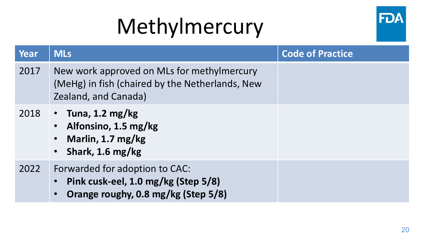# Methylmercury



| Year | <b>MLs</b>                                                                                                                             | <b>Code of Practice</b> |
|------|----------------------------------------------------------------------------------------------------------------------------------------|-------------------------|
| 2017 | New work approved on MLs for methylmercury<br>(MeHg) in fish (chaired by the Netherlands, New<br>Zealand, and Canada)                  |                         |
| 2018 | • Tuna, 1.2 mg/kg<br>• Alfonsino, 1.5 mg/kg<br>Marlin, 1.7 mg/kg<br>$\bullet$<br>• Shark, 1.6 mg/kg                                    |                         |
| 2022 | Forwarded for adoption to CAC:<br>Pink cusk-eel, 1.0 mg/kg (Step 5/8)<br>$\bullet$<br>Orange roughy, 0.8 mg/kg (Step 5/8)<br>$\bullet$ |                         |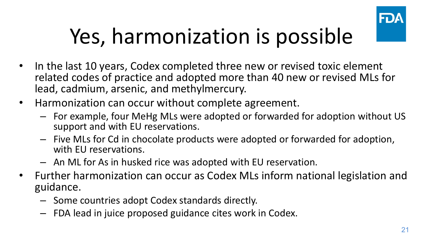

# Yes, harmonization is possible

- In the last 10 years, Codex completed three new or revised toxic element related codes of practice and adopted more than 40 new or revised MLs for lead, cadmium, arsenic, and methylmercury.
- Harmonization can occur without complete agreement.
	- For example, four MeHg MLs were adopted or forwarded for adoption without US support and with EU reservations.
	- Five MLs for Cd in chocolate products were adopted or forwarded for adoption, with EU reservations.
	- An ML for As in husked rice was adopted with EU reservation.
- Further harmonization can occur as Codex MLs inform national legislation and guidance.
	- Some countries adopt Codex standards directly.
	- FDA lead in juice proposed guidance cites work in Codex.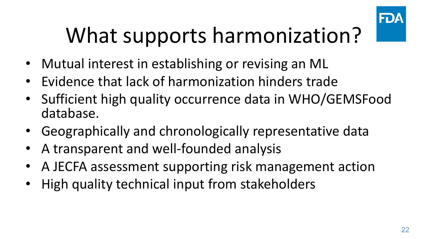

# What supports harmonization?

- Mutual interest in establishing or revising an ML
- Evidence that lack of harmonization hinders trade
- Sufficient high quality occurrence data in WHO/GEMSFood database.
- Geographically and chronologically representative data
- A transparent and well-founded analysis
- A JECFA assessment supporting risk management action
- High quality technical input from stakeholders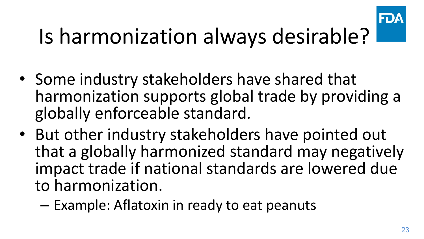

# Is harmonization always desirable?

- Some industry stakeholders have shared that harmonization supports global trade by providing a globally enforceable standard.
- But other industry stakeholders have pointed out that a globally harmonized standard may negatively impact trade if national standards are lowered due to harmonization.
	- Example: Aflatoxin in ready to eat peanuts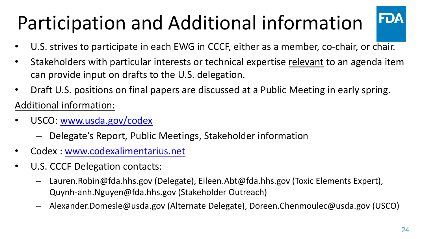## Participation and Additional information

- U.S. strives to participate in each EWG in CCCF, either as a member, co-chair, or chair.
- Stakeholders with particular interests or technical expertise relevant to an agenda item can provide input on drafts to the U.S. delegation.
- Draft U.S. positions on final papers are discussed at a Public Meeting in early spring.

Additional information:

- USCO: www.usda.gov/codex
	- Delegate's Report, Public Meetings, Stakeholder information
- Codex : [www.codexalimentarius.net](http://www.codexalimentarius.net/)
- U.S. CCCF Delegation contacts:
	- Lauren.Robin@fda.hhs.gov (Delegate), Eileen.Abt@fda.hhs.gov (Toxic Elements Expert), Quynh-anh.Nguyen@fda.hhs.gov (Stakeholder Outreach)
	- Alexander.Domesle@usda.gov (Alternate Delegate), Doreen.Chenmoulec@usda.gov (USCO)